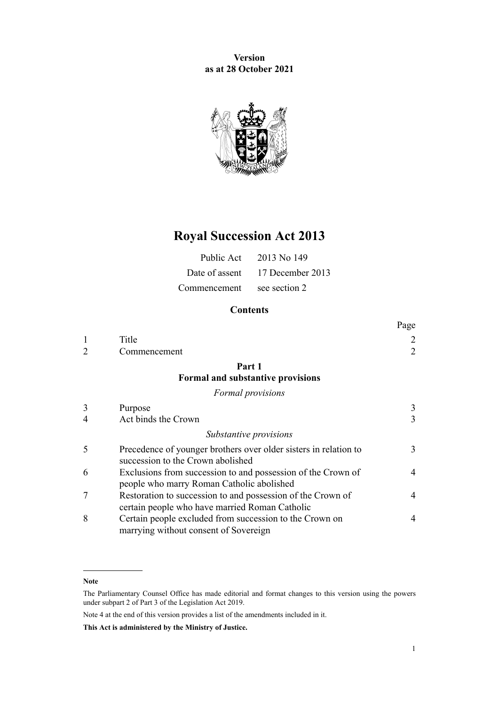**Version as at 28 October 2021**



# **Royal Succession Act 2013**

|                            | Public Act $2013$ No 149        |
|----------------------------|---------------------------------|
|                            | Date of assent 17 December 2013 |
| Commencement see section 2 |                                 |

# **Contents**

|                |                                                                                                               | Page |
|----------------|---------------------------------------------------------------------------------------------------------------|------|
| 1              | Title                                                                                                         | 2    |
|                | Commencement                                                                                                  | 2    |
|                | Part 1<br>Formal and substantive provisions                                                                   |      |
|                | Formal provisions                                                                                             |      |
| 3              | Purpose                                                                                                       | 3    |
| $\overline{4}$ | Act binds the Crown                                                                                           | 3    |
|                | Substantive provisions                                                                                        |      |
| 5              | Precedence of younger brothers over older sisters in relation to<br>succession to the Crown abolished         | 3    |
| 6              | Exclusions from succession to and possession of the Crown of<br>people who marry Roman Catholic abolished     | 4    |
| 7              | Restoration to succession to and possession of the Crown of<br>certain people who have married Roman Catholic | 4    |
| 8              | Certain people excluded from succession to the Crown on<br>marrying without consent of Sovereign              | 4    |

**Note**

Note 4 at the end of this version provides a list of the amendments included in it.

The Parliamentary Counsel Office has made editorial and format changes to this version using the powers under [subpart 2](http://legislation.govt.nz/pdflink.aspx?id=DLM7298371) of Part 3 of the Legislation Act 2019.

**This Act is administered by the Ministry of Justice.**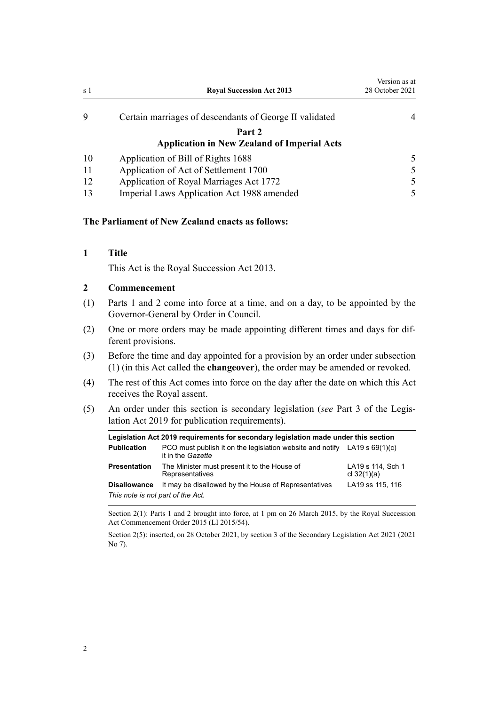<span id="page-1-0"></span>

| s 1 | <b>Royal Succession Act 2013</b>                        | Version as at<br>28 October 2021 |
|-----|---------------------------------------------------------|----------------------------------|
| 9   | Certain marriages of descendants of George II validated |                                  |
|     | Part 2                                                  |                                  |
|     | <b>Application in New Zealand of Imperial Acts</b>      |                                  |
| 10  | Application of Bill of Rights 1688                      | 5                                |
|     | Application of Act of Settlement 1700                   | 5                                |
| 12  | Application of Royal Marriages Act 1772                 | 5                                |
| 13  | Imperial Laws Application Act 1988 amended              |                                  |

#### **The Parliament of New Zealand enacts as follows:**

## **1 Title**

This Act is the Royal Succession Act 2013.

#### **2 Commencement**

- (1) [Parts 1](#page-2-0) and [2](#page-4-0) come into force at a time, and on a day, to be appointed by the Governor-General by Order in Council.
- (2) One or more orders may be made appointing different times and days for dif‐ ferent provisions.
- (3) Before the time and day appointed for a provision by an order under subsection (1) (in this Act called the **changeover**), the order may be amended or revoked.
- (4) The rest of this Act comes into force on the day after the date on which this Act receives the Royal assent.
- (5) An order under this section is secondary legislation (*see* [Part 3](http://legislation.govt.nz/pdflink.aspx?id=DLM7298343) of the Legis‐ lation Act 2019 for publication requirements).

| Legislation Act 2019 requirements for secondary legislation made under this section |                                                                                                  |                                    |  |  |
|-------------------------------------------------------------------------------------|--------------------------------------------------------------------------------------------------|------------------------------------|--|--|
| <b>Publication</b>                                                                  | PCO must publish it on the legislation website and notify LA19 s $69(1)(c)$<br>it in the Gazette |                                    |  |  |
| <b>Presentation</b>                                                                 | The Minister must present it to the House of<br>Representatives                                  | LA19 s 114, Sch 1<br>cl $32(1)(a)$ |  |  |
| <b>Disallowance</b>                                                                 | It may be disallowed by the House of Representatives                                             | LA19 ss 115, 116                   |  |  |
| This note is not part of the Act.                                                   |                                                                                                  |                                    |  |  |

Section 2(1): Parts 1 and 2 brought into force, at 1 pm on 26 March 2015, by the Royal Succession Act Commencement Order 2015 (LI 2015/54).

Section 2(5): inserted, on 28 October 2021, by [section 3](http://legislation.govt.nz/pdflink.aspx?id=LMS268932) of the Secondary Legislation Act 2021 (2021 No 7).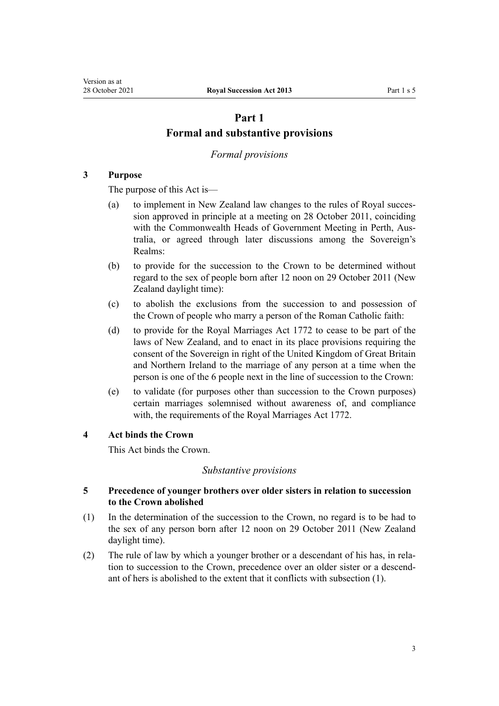# **Part 1 Formal and substantive provisions**

# *Formal provisions*

# <span id="page-2-0"></span>**3 Purpose**

The purpose of this Act is—

- (a) to implement in New Zealand law changes to the rules of Royal succes‐ sion approved in principle at a meeting on 28 October 2011, coinciding with the Commonwealth Heads of Government Meeting in Perth, Australia, or agreed through later discussions among the Sovereign's Realms:
- (b) to provide for the succession to the Crown to be determined without regard to the sex of people born after 12 noon on 29 October 2011 (New Zealand daylight time):
- (c) to abolish the exclusions from the succession to and possession of the Crown of people who marry a person of the Roman Catholic faith:
- (d) to provide for the [Royal Marriages Act 1772](http://legislation.govt.nz/pdflink.aspx?id=DLM11500) to cease to be part of the laws of New Zealand, and to enact in its place provisions requiring the consent of the Sovereign in right of the United Kingdom of Great Britain and Northern Ireland to the marriage of any person at a time when the person is one of the 6 people next in the line of succession to the Crown:
- (e) to validate (for purposes other than succession to the Crown purposes) certain marriages solemnised without awareness of, and compliance with, the requirements of the [Royal Marriages Act 1772.](http://legislation.govt.nz/pdflink.aspx?id=DLM11500)

#### **4 Act binds the Crown**

This Act binds the Crown.

#### *Substantive provisions*

# **5 Precedence of younger brothers over older sisters in relation to succession to the Crown abolished**

- (1) In the determination of the succession to the Crown, no regard is to be had to the sex of any person born after 12 noon on 29 October 2011 (New Zealand daylight time).
- (2) The rule of law by which a younger brother or a descendant of his has, in rela‐ tion to succession to the Crown, precedence over an older sister or a descend‐ ant of hers is abolished to the extent that it conflicts with subsection (1).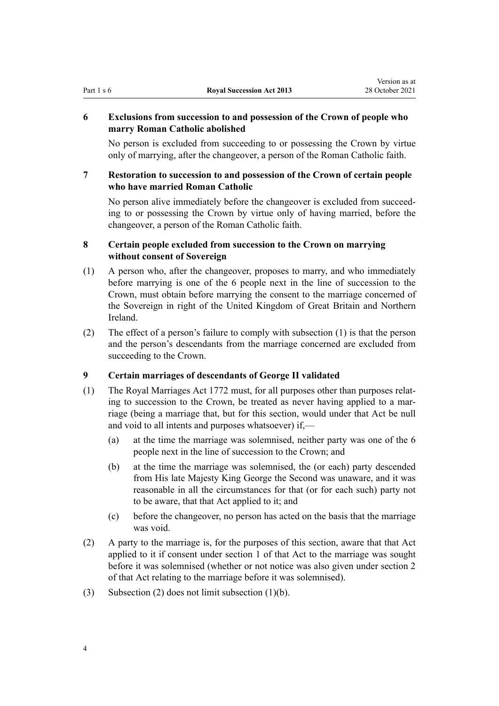# <span id="page-3-0"></span>**6 Exclusions from succession to and possession of the Crown of people who marry Roman Catholic abolished**

No person is excluded from succeeding to or possessing the Crown by virtue only of marrying, after the changeover, a person of the Roman Catholic faith.

# **7 Restoration to succession to and possession of the Crown of certain people who have married Roman Catholic**

No person alive immediately before the changeover is excluded from succeed‐ ing to or possessing the Crown by virtue only of having married, before the changeover, a person of the Roman Catholic faith.

# **8 Certain people excluded from succession to the Crown on marrying without consent of Sovereign**

- (1) A person who, after the changeover, proposes to marry, and who immediately before marrying is one of the 6 people next in the line of succession to the Crown, must obtain before marrying the consent to the marriage concerned of the Sovereign in right of the United Kingdom of Great Britain and Northern Ireland.
- (2) The effect of a person's failure to comply with subsection (1) is that the person and the person's descendants from the marriage concerned are excluded from succeeding to the Crown.

# **9 Certain marriages of descendants of George II validated**

- (1) The [Royal Marriages Act 1772](http://legislation.govt.nz/pdflink.aspx?id=DLM11500) must, for all purposes other than purposes relat‐ ing to succession to the Crown, be treated as never having applied to a marriage (being a marriage that, but for this section, would under that Act be null and void to all intents and purposes whatsoever) if,—
	- (a) at the time the marriage was solemnised, neither party was one of the 6 people next in the line of succession to the Crown; and
	- (b) at the time the marriage was solemnised, the (or each) party descended from His late Majesty King George the Second was unaware, and it was reasonable in all the circumstances for that (or for each such) party not to be aware, that that Act applied to it; and
	- (c) before the changeover, no person has acted on the basis that the marriage was void.
- (2) A party to the marriage is, for the purposes of this section, aware that that Act applied to it if consent under [section 1](http://legislation.govt.nz/pdflink.aspx?id=DLM11507) of that Act to the marriage was sought before it was solemnised (whether or not notice was also given under [section 2](http://legislation.govt.nz/pdflink.aspx?id=DLM11508) of that Act relating to the marriage before it was solemnised).
- (3) Subsection (2) does not limit subsection (1)(b).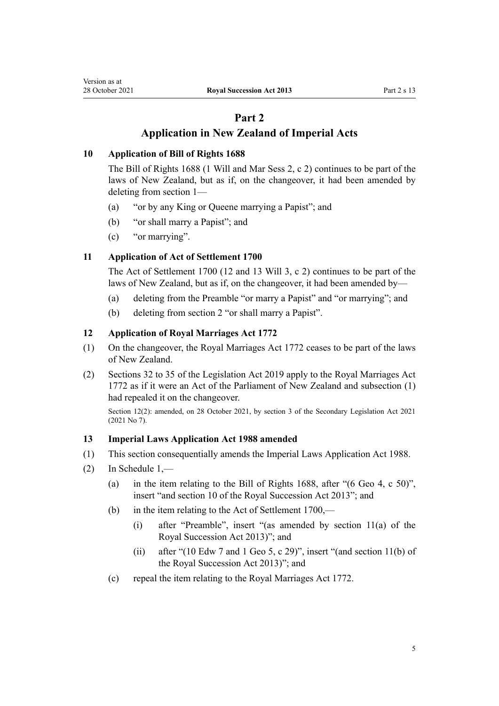# **Part 2**

# **Application in New Zealand of Imperial Acts**

# <span id="page-4-0"></span>**10 Application of Bill of Rights 1688**

The [Bill of Rights 1688](http://legislation.govt.nz/pdflink.aspx?id=DLM10992) (1 Will and Mar Sess 2, c 2) continues to be part of the laws of New Zealand, but as if, on the changeover, it had been amended by deleting from [section 1—](http://legislation.govt.nz/pdflink.aspx?id=DLM11115)

- (a) "or by any King or Queene marrying a Papist"; and
- (b) "or shall marry a Papist"; and
- (c) "or marrying".

# **11 Application of Act of Settlement 1700**

The [Act of Settlement 1700](http://legislation.govt.nz/pdflink.aspx?id=DLM11130) (12 and 13 Will 3, c 2) continues to be part of the laws of New Zealand, but as if, on the changeover, it had been amended by—

- (a) deleting from the Preamble "or marry a Papist" and "or marrying"; and
- (b) deleting from [section 2](http://legislation.govt.nz/pdflink.aspx?id=DLM11138) "or shall marry a Papist".

# **12 Application of Royal Marriages Act 1772**

- (1) On the changeover, the [Royal Marriages Act 1772](http://legislation.govt.nz/pdflink.aspx?id=DLM11500) ceases to be part of the laws of New Zealand.
- (2) [Sections 32 to 35](http://legislation.govt.nz/pdflink.aspx?id=DLM7298282) of the Legislation Act 2019 apply to the [Royal Marriages Act](http://legislation.govt.nz/pdflink.aspx?id=DLM11500) [1772](http://legislation.govt.nz/pdflink.aspx?id=DLM11500) as if it were an Act of the Parliament of New Zealand and subsection (1) had repealed it on the changeover.

Section 12(2): amended, on 28 October 2021, by [section 3](http://legislation.govt.nz/pdflink.aspx?id=LMS268932) of the Secondary Legislation Act 2021 (2021 No 7).

## **13 Imperial Laws Application Act 1988 amended**

- (1) This section consequentially amends the [Imperial Laws Application Act 1988](http://legislation.govt.nz/pdflink.aspx?id=DLM135073).
- (2) In [Schedule 1](http://legislation.govt.nz/pdflink.aspx?id=DLM135091),—
	- (a) in the item relating to the Bill of Rights 1688, after "(6 Geo 4, c 50)", insert "and section 10 of the Royal Succession Act 2013"; and
	- (b) in the item relating to the Act of Settlement 1700,—
		- (i) after "Preamble", insert "(as amended by section 11(a) of the Royal Succession Act 2013)"; and
		- (ii) after " $(10$  Edw 7 and 1 Geo 5, c 29)", insert " $($ and section 11 $(b)$  of the Royal Succession Act 2013)"; and
	- (c) repeal the item relating to the [Royal Marriages Act 1772](http://legislation.govt.nz/pdflink.aspx?id=DLM11500).